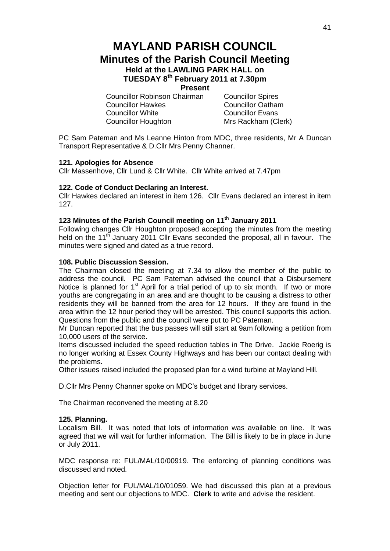# **MAYLAND PARISH COUNCIL Minutes of the Parish Council Meeting Held at the LAWLING PARK HALL on TUESDAY 8 th February 2011 at 7.30pm**

**Present**

Councillor Robinson Chairman Councillor Spires Councillor Hawkes Councillor Oatham Councillor White Councillor Evans Councillor Houghton Mrs Rackham (Clerk)

PC Sam Pateman and Ms Leanne Hinton from MDC, three residents, Mr A Duncan Transport Representative & D.Cllr Mrs Penny Channer.

# **121. Apologies for Absence**

Cllr Massenhove, Cllr Lund & Cllr White. Cllr White arrived at 7.47pm

# **122. Code of Conduct Declaring an Interest.**

Cllr Hawkes declared an interest in item 126. Cllr Evans declared an interest in item 127.

# **123 Minutes of the Parish Council meeting on 11th January 2011**

Following changes Cllr Houghton proposed accepting the minutes from the meeting held on the 11<sup>th</sup> January 2011 Cllr Evans seconded the proposal, all in favour. The minutes were signed and dated as a true record.

# **108. Public Discussion Session.**

The Chairman closed the meeting at 7.34 to allow the member of the public to address the council. PC Sam Pateman advised the council that a Disbursement Notice is planned for  $1<sup>st</sup>$  April for a trial period of up to six month. If two or more youths are congregating in an area and are thought to be causing a distress to other residents they will be banned from the area for 12 hours. If they are found in the area within the 12 hour period they will be arrested. This council supports this action. Questions from the public and the council were put to PC Pateman.

Mr Duncan reported that the bus passes will still start at 9am following a petition from 10,000 users of the service.

Items discussed included the speed reduction tables in The Drive. Jackie Roerig is no longer working at Essex County Highways and has been our contact dealing with the problems.

Other issues raised included the proposed plan for a wind turbine at Mayland Hill.

D.Cllr Mrs Penny Channer spoke on MDC's budget and library services.

The Chairman reconvened the meeting at 8.20

#### **125. Planning.**

Localism Bill. It was noted that lots of information was available on line. It was agreed that we will wait for further information. The Bill is likely to be in place in June or July 2011.

MDC response re: FUL/MAL/10/00919. The enforcing of planning conditions was discussed and noted.

Objection letter for FUL/MAL/10/01059. We had discussed this plan at a previous meeting and sent our objections to MDC. **Clerk** to write and advise the resident.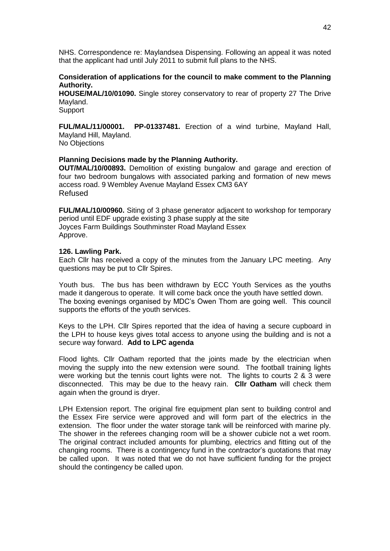NHS. Correspondence re: Maylandsea Dispensing. Following an appeal it was noted that the applicant had until July 2011 to submit full plans to the NHS.

# **Consideration of applications for the council to make comment to the Planning Authority.**

**HOUSE/MAL/10/01090.** Single storey conservatory to rear of property 27 The Drive Mayland.

Support

**FUL/MAL/11/00001. PP-01337481.** Erection of a wind turbine, Mayland Hall, Mayland Hill, Mayland.

No Objections

# **Planning Decisions made by the Planning Authority.**

**OUT/MAL/10/00893.** Demolition of existing bungalow and garage and erection of four two bedroom bungalows with associated parking and formation of new mews access road. 9 Wembley Avenue Mayland Essex CM3 6AY Refused

**FUL/MAL/10/00960.** Siting of 3 phase generator adjacent to workshop for temporary period until EDF upgrade existing 3 phase supply at the site Joyces Farm Buildings Southminster Road Mayland Essex Approve.

#### **126. Lawling Park.**

Each Cllr has received a copy of the minutes from the January LPC meeting. Any questions may be put to Cllr Spires.

Youth bus. The bus has been withdrawn by ECC Youth Services as the youths made it dangerous to operate. It will come back once the youth have settled down. The boxing evenings organised by MDC's Owen Thom are going well. This council supports the efforts of the youth services.

Keys to the LPH. Cllr Spires reported that the idea of having a secure cupboard in the LPH to house keys gives total access to anyone using the building and is not a secure way forward. **Add to LPC agenda**

Flood lights. Cllr Oatham reported that the joints made by the electrician when moving the supply into the new extension were sound. The football training lights were working but the tennis court lights were not. The lights to courts 2 & 3 were disconnected. This may be due to the heavy rain. **Cllr Oatham** will check them again when the ground is dryer.

LPH Extension report. The original fire equipment plan sent to building control and the Essex Fire service were approved and will form part of the electrics in the extension. The floor under the water storage tank will be reinforced with marine ply. The shower in the referees changing room will be a shower cubicle not a wet room. The original contract included amounts for plumbing, electrics and fitting out of the changing rooms. There is a contingency fund in the contractor's quotations that may be called upon. It was noted that we do not have sufficient funding for the project should the contingency be called upon.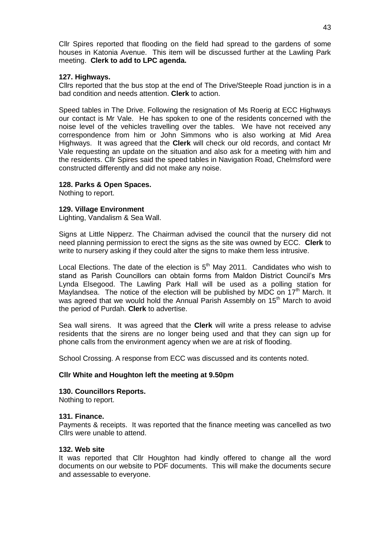Cllr Spires reported that flooding on the field had spread to the gardens of some houses in Katonia Avenue. This item will be discussed further at the Lawling Park meeting. **Clerk to add to LPC agenda.**

# **127. Highways.**

Cllrs reported that the bus stop at the end of The Drive/Steeple Road junction is in a bad condition and needs attention. **Clerk** to action.

Speed tables in The Drive. Following the resignation of Ms Roerig at ECC Highways our contact is Mr Vale. He has spoken to one of the residents concerned with the noise level of the vehicles travelling over the tables. We have not received any correspondence from him or John Simmons who is also working at Mid Area Highways. It was agreed that the **Clerk** will check our old records, and contact Mr Vale requesting an update on the situation and also ask for a meeting with him and the residents. Cllr Spires said the speed tables in Navigation Road, Chelmsford were constructed differently and did not make any noise.

# **128. Parks & Open Spaces.**

Nothing to report.

#### **129. Village Environment**

Lighting, Vandalism & Sea Wall.

Signs at Little Nipperz. The Chairman advised the council that the nursery did not need planning permission to erect the signs as the site was owned by ECC. **Clerk** to write to nursery asking if they could alter the signs to make them less intrusive.

Local Elections. The date of the election is  $5<sup>th</sup>$  May 2011. Candidates who wish to stand as Parish Councillors can obtain forms from Maldon District Council's Mrs Lynda Elsegood. The Lawling Park Hall will be used as a polling station for Maylandsea. The notice of the election will be published by MDC on  $17<sup>th</sup>$  March. It was agreed that we would hold the Annual Parish Assembly on 15<sup>th</sup> March to avoid the period of Purdah. **Clerk** to advertise.

Sea wall sirens. It was agreed that the **Clerk** will write a press release to advise residents that the sirens are no longer being used and that they can sign up for phone calls from the environment agency when we are at risk of flooding.

School Crossing. A response from ECC was discussed and its contents noted.

#### **Cllr White and Houghton left the meeting at 9.50pm**

#### **130. Councillors Reports.**

Nothing to report.

#### **131. Finance.**

Payments & receipts. It was reported that the finance meeting was cancelled as two Cllrs were unable to attend.

#### **132. Web site**

It was reported that Cllr Houghton had kindly offered to change all the word documents on our website to PDF documents. This will make the documents secure and assessable to everyone.